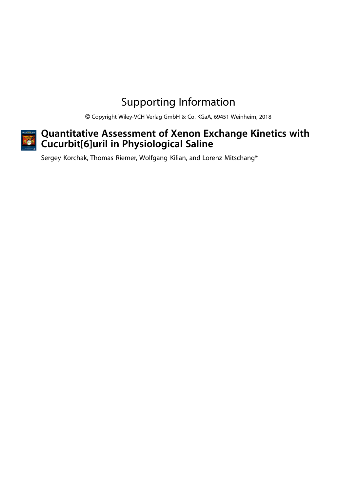## Supporting Information

Copyright Wiley-VCH Verlag GmbH & Co. KGaA, 69451 Weinheim, 2018



## Quantitative Assessment of Xenon Exchange Kinetics with Cucurbit[6]uril in Physiological Saline

Sergey Korchak, Thomas Riemer, Wolfgang Kilian, and Lorenz Mitschang\*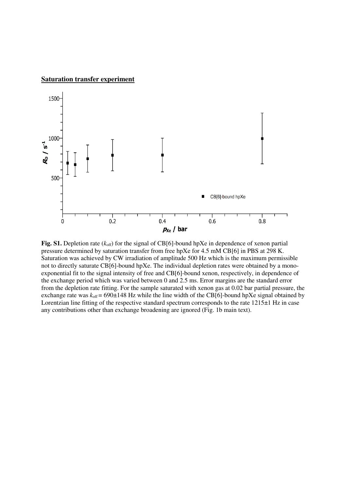## **Saturation transfer experiment**



**Fig. S1.** Depletion rate  $(k_{\text{off}})$  for the signal of CB[6]-bound hpXe in dependence of xenon partial pressure determined by saturation transfer from free hpXe for 4.5 mM CB[6] in PBS at 298 K. Saturation was achieved by CW irradiation of amplitude 500 Hz which is the maximum permissible not to directly saturate CB[6]-bound hpXe. The individual depletion rates were obtained by a monoexponential fit to the signal intensity of free and CB[6]-bound xenon, respectively, in dependence of the exchange period which was varied between 0 and 2.5 ms. Error margins are the standard error from the depletion rate fitting. For the sample saturated with xenon gas at 0.02 bar partial pressure, the exchange rate was  $k_{\text{off}} = 690 \pm 148$  Hz while the line width of the CB[6]-bound hpXe signal obtained by Lorentzian line fitting of the respective standard spectrum corresponds to the rate 1215 $\pm$ 1 Hz in case any contributions other than exchange broadening are ignored (Fig. 1b main text).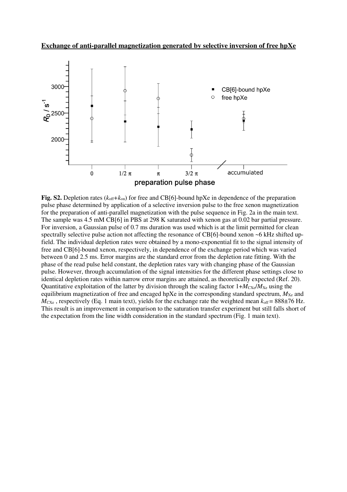**Exchange of anti-parallel magnetization generated by selective inversion of free hpXe** 



**Fig. S2.** Depletion rates  $(k_{off} + k_{on})$  for free and CB[6]-bound hpXe in dependence of the preparation pulse phase determined by application of a selective inversion pulse to the free xenon magnetization for the preparation of anti-parallel magnetization with the pulse sequence in Fig. 2a in the main text. The sample was 4.5 mM CB[6] in PBS at 298 K saturated with xenon gas at 0.02 bar partial pressure. For inversion, a Gaussian pulse of 0.7 ms duration was used which is at the limit permitted for clean spectrally selective pulse action not affecting the resonance of CB[6]-bound xenon ~6 kHz shifted upfield. The individual depletion rates were obtained by a mono-exponential fit to the signal intensity of free and CB[6]-bound xenon, respectively, in dependence of the exchange period which was varied between 0 and 2.5 ms. Error margins are the standard error from the depletion rate fitting. With the phase of the read pulse held constant, the depletion rates vary with changing phase of the Gaussian pulse. However, through accumulation of the signal intensities for the different phase settings close to identical depletion rates within narrow error margins are attained, as theoretically expected (Ref. 20). Quantitative exploitation of the latter by division through the scaling factor  $1+M_{\text{CKe}}/M_{\text{Xe}}$  using the equilibrium magnetization of free and encaged hpXe in the corresponding standard spectrum,  $M_{Xe}$  and  $M_{\text{CXe}}$ , respectively (Eq. 1 main text), yields for the exchange rate the weighted mean  $k_{\text{off}} = 888 \pm 76 \text{ Hz}$ . This result is an improvement in comparison to the saturation transfer experiment but still falls short of the expectation from the line width consideration in the standard spectrum (Fig. 1 main text).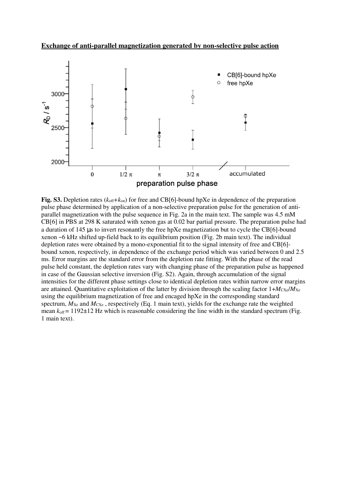**Exchange of anti-parallel magnetization generated by non-selective pulse action** 



**Fig. S3.** Depletion rates  $(k_{\text{off}}+k_{\text{on}})$  for free and CB[6]-bound hpXe in dependence of the preparation pulse phase determined by application of a non-selective preparation pulse for the generation of antiparallel magnetization with the pulse sequence in Fig. 2a in the main text. The sample was 4.5 mM CB[6] in PBS at 298 K saturated with xenon gas at 0.02 bar partial pressure. The preparation pulse had a duration of 145 µs to invert resonantly the free hpXe magnetization but to cycle the CB[6]-bound xenon ~6 kHz shifted up-field back to its equilibrium position (Fig. 2b main text). The individual depletion rates were obtained by a mono-exponential fit to the signal intensity of free and CB[6] bound xenon, respectively, in dependence of the exchange period which was varied between 0 and 2.5 ms. Error margins are the standard error from the depletion rate fitting. With the phase of the read pulse held constant, the depletion rates vary with changing phase of the preparation pulse as happened in case of the Gaussian selective inversion (Fig. S2). Again, through accumulation of the signal intensities for the different phase settings close to identical depletion rates within narrow error margins are attained. Quantitative exploitation of the latter by division through the scaling factor  $1+M_{\text{CX}}/M_{\text{Xe}}$ using the equilibrium magnetization of free and encaged hpXe in the corresponding standard spectrum,  $M_{Xe}$  and  $M_{Xe}$ , respectively (Eq. 1 main text), yields for the exchange rate the weighted mean  $k_{\text{off}}$  = 1192 $\pm$ 12 Hz which is reasonable considering the line width in the standard spectrum (Fig. 1 main text).